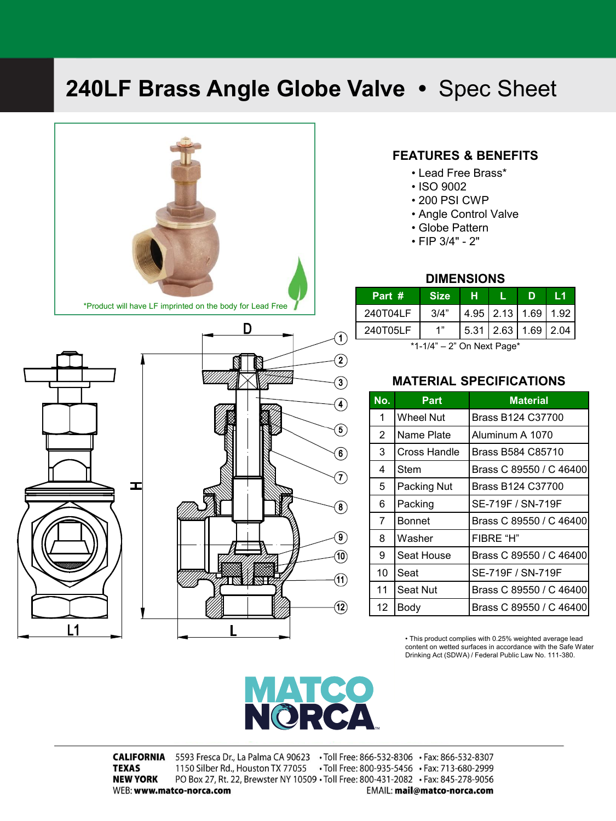## **240LF Brass Angle Globe Valve •** Spec Sheet



## **FEATURES & BENEFITS**

- Lead Free Brass\*
- ISO 9002
- 200 PSI CWP
- Angle Control Valve
- Globe Pattern
- FIP 3/4" 2"

### **DIMENSIONS**

| Part #   | <b>Size</b> |                             | D | l 1 |
|----------|-------------|-----------------------------|---|-----|
| 240T04LF | 3/4"        | $4.95$   2.13   1.69   1.92 |   |     |
| 240T05LF |             | $5.31$   2.63   1.69   2.04 |   |     |

\*1-1/4" – 2" On Next Page\*

### **MATERIAL SPECIFICATIONS**

| No.            | <b>Part</b>   | <b>Material</b>         |
|----------------|---------------|-------------------------|
| 1              | Wheel Nut     | Brass B124 C37700       |
| 2              | Name Plate    | Aluminum A 1070         |
| 3              | Cross Handle  | Brass B584 C85710       |
| 4              | Stem          | Brass C 89550 / C 46400 |
| 5              | Packing Nut   | Brass B124 C37700       |
| 6              | Packing       | SE-719F / SN-719F       |
| $\overline{7}$ | <b>Bonnet</b> | Brass C 89550 / C 46400 |
| 8              | Washer        | FIBRE "H"               |
| 9              | Seat House    | Brass C 89550 / C 46400 |
| 10             | Seat          | SE-719F / SN-719F       |
| 11             | Seat Nut      | Brass C 89550 / C 46400 |
| 12             | Body          | Brass C 89550 / C 46400 |

• This product complies with 0.25% weighted average lead content on wetted surfaces in accordance with the Safe Water Drinking Act (SDWA) / Federal Public Law No. 111-380.

# $\blacksquare$   $\blacksquare$   $\blacksquare$   $\blacksquare$

CALIFORNIA 5593 Fresca Dr., La Palma CA 90623 · Toll Free: 866-532-8306 · Fax: 866-532-8307 1150 Silber Rd., Houston TX 77055 . Toll Free: 800-935-5456 . Fax: 713-680-2999 **TEXAS NEW YORK** PO Box 27, Rt. 22, Brewster NY 10509 . Toll Free: 800-431-2082 . Fax: 845-278-9056 WEB: www.matco-norca.com EMAIL: mail@matco-norca.com